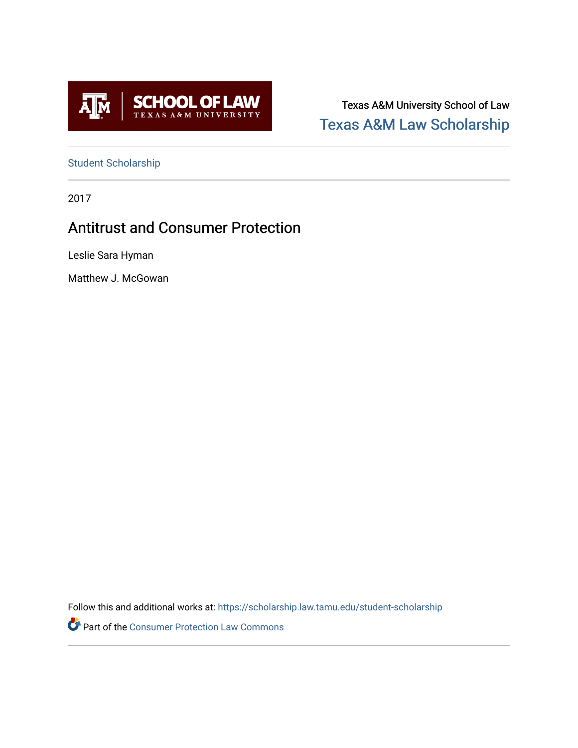

Texas A&M University School of Law [Texas A&M Law Scholarship](https://scholarship.law.tamu.edu/) 

[Student Scholarship](https://scholarship.law.tamu.edu/student-scholarship)

2017

# Antitrust and Consumer Protection

Leslie Sara Hyman

Matthew J. McGowan

Follow this and additional works at: [https://scholarship.law.tamu.edu/student-scholarship](https://scholarship.law.tamu.edu/student-scholarship?utm_source=scholarship.law.tamu.edu%2Fstudent-scholarship%2F19&utm_medium=PDF&utm_campaign=PDFCoverPages) 

Part of the [Consumer Protection Law Commons](https://network.bepress.com/hgg/discipline/838?utm_source=scholarship.law.tamu.edu%2Fstudent-scholarship%2F19&utm_medium=PDF&utm_campaign=PDFCoverPages)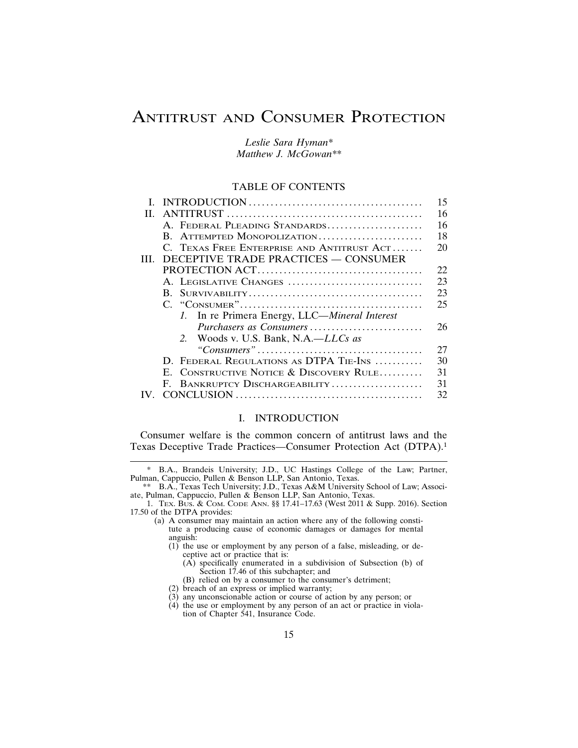# ANTITRUST AND CONSUMER PROTECTION

*Leslie Sara Hyman\* Matthew J. McGowan\*\**

#### TABLE OF CONTENTS

|     |                                               | 15  |
|-----|-----------------------------------------------|-----|
| Н.  |                                               | 16  |
|     | A. FEDERAL PLEADING STANDARDS                 | 16  |
|     | B. ATTEMPTED MONOPOLIZATION                   | 18  |
|     | C. TEXAS FREE ENTERPRISE AND ANTITRUST ACT    | 20  |
| HH. | DECEPTIVE TRADE PRACTICES — CONSUMER          |     |
|     |                                               | 22. |
|     | A. LEGISLATIVE CHANGES                        | 23  |
|     |                                               | 23  |
|     |                                               | 25  |
|     | 1. In re Primera Energy, LLC—Mineral Interest |     |
|     | Purchasers as Consumers                       | 26  |
|     | 2. Woods v. U.S. Bank, N.A.—LLCs as           |     |
|     |                                               | 27  |
|     | D. FEDERAL REGULATIONS AS DTPA TIE-INS        | 30  |
|     | E. CONSTRUCTIVE NOTICE & DISCOVERY RULE       | 31  |
|     | F. BANKRUPTCY DISCHARGEABILITY                | 31  |
|     |                                               | 32. |
|     |                                               |     |

# I. INTRODUCTION

Consumer welfare is the common concern of antitrust laws and the Texas Deceptive Trade Practices—Consumer Protection Act (DTPA).<sup>1</sup>

- (1) the use or employment by any person of a false, misleading, or deceptive act or practice that is:
	- (A) specifically enumerated in a subdivision of Subsection (b) of Section 17.46 of this subchapter; and
	- (B) relied on by a consumer to the consumer's detriment;
- (2) breach of an express or implied warranty;
- (3) any unconscionable action or course of action by any person; or
- (4) the use or employment by any person of an act or practice in violation of Chapter 541, Insurance Code.

<sup>\*</sup> B.A., Brandeis University; J.D., UC Hastings College of the Law; Partner, Pulman, Cappuccio, Pullen & Benson LLP, San Antonio, Texas.

<sup>\*\*</sup> B.A., Texas Tech University; J.D., Texas A&M University School of Law; Associate, Pulman, Cappuccio, Pullen & Benson LLP, San Antonio, Texas.

<sup>1.</sup> TEX. BUS. & COM. CODE ANN. §§ 17.41–17.63 (West 2011 & Supp. 2016). Section 17.50 of the DTPA provides:

<sup>(</sup>a) A consumer may maintain an action where any of the following constitute a producing cause of economic damages or damages for mental anguish: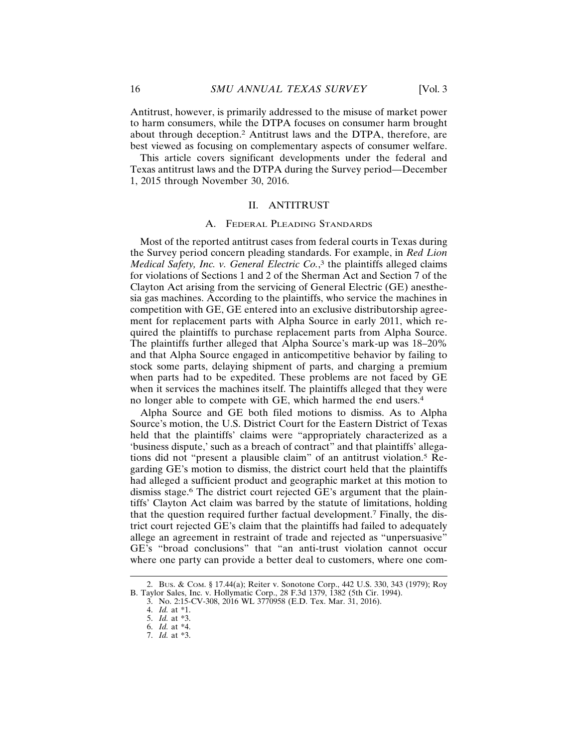best viewed as focusing on complementary aspects of consumer welfare. This article covers significant developments under the federal and Texas antitrust laws and the DTPA during the Survey period—December 1, 2015 through November 30, 2016.

#### II. ANTITRUST

#### A. FEDERAL PLEADING STANDARDS

Most of the reported antitrust cases from federal courts in Texas during the Survey period concern pleading standards. For example, in *Red Lion Medical Safety, Inc. v. General Electric Co.*, 3 the plaintiffs alleged claims for violations of Sections 1 and 2 of the Sherman Act and Section 7 of the Clayton Act arising from the servicing of General Electric (GE) anesthesia gas machines. According to the plaintiffs, who service the machines in competition with GE, GE entered into an exclusive distributorship agreement for replacement parts with Alpha Source in early 2011, which required the plaintiffs to purchase replacement parts from Alpha Source. The plaintiffs further alleged that Alpha Source's mark-up was 18–20% and that Alpha Source engaged in anticompetitive behavior by failing to stock some parts, delaying shipment of parts, and charging a premium when parts had to be expedited. These problems are not faced by GE when it services the machines itself. The plaintiffs alleged that they were no longer able to compete with GE, which harmed the end users.<sup>4</sup>

Alpha Source and GE both filed motions to dismiss. As to Alpha Source's motion, the U.S. District Court for the Eastern District of Texas held that the plaintiffs' claims were "appropriately characterized as a 'business dispute,' such as a breach of contract" and that plaintiffs' allegations did not "present a plausible claim" of an antitrust violation.5 Regarding GE's motion to dismiss, the district court held that the plaintiffs had alleged a sufficient product and geographic market at this motion to dismiss stage.6 The district court rejected GE's argument that the plaintiffs' Clayton Act claim was barred by the statute of limitations, holding that the question required further factual development.7 Finally, the district court rejected GE's claim that the plaintiffs had failed to adequately allege an agreement in restraint of trade and rejected as "unpersuasive" GE's "broad conclusions" that "an anti-trust violation cannot occur where one party can provide a better deal to customers, where one com-

<sup>2.</sup> BUS. & COM. § 17.44(a); Reiter v. Sonotone Corp., 442 U.S. 330, 343 (1979); Roy B. Taylor Sales, Inc. v. Hollymatic Corp., 28 F.3d 1379, 1382 (5th Cir. 1994).

<sup>3.</sup> No. 2:15-CV-308, 2016 WL 3770958 (E.D. Tex. Mar. 31, 2016).

<sup>4.</sup> *Id.* at \*1.

<sup>5.</sup> *Id.* at \*3.

<sup>6.</sup> *Id.* at \*4.

<sup>7.</sup> *Id.* at \*3.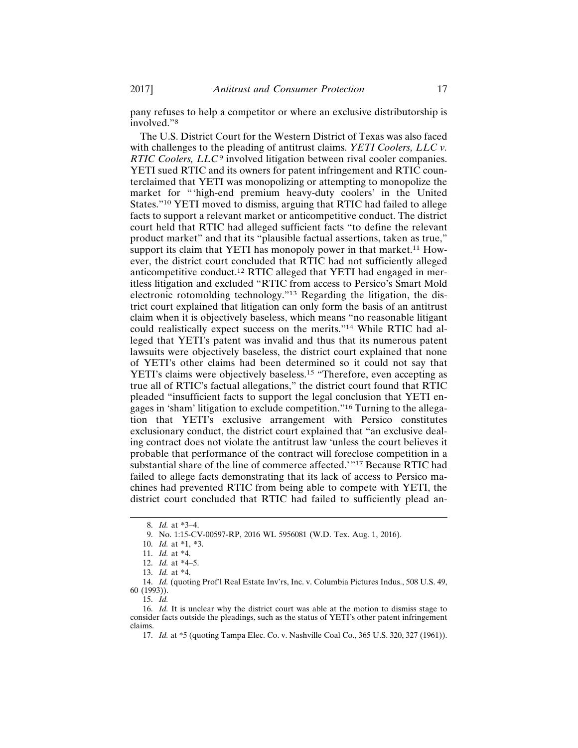pany refuses to help a competitor or where an exclusive distributorship is involved."8

The U.S. District Court for the Western District of Texas was also faced with challenges to the pleading of antitrust claims. *YETI Coolers, LLC v. RTIC Coolers, LLC*<sup>9</sup> involved litigation between rival cooler companies. YETI sued RTIC and its owners for patent infringement and RTIC counterclaimed that YETI was monopolizing or attempting to monopolize the market for "'high-end premium heavy-duty coolers' in the United States."10 YETI moved to dismiss, arguing that RTIC had failed to allege facts to support a relevant market or anticompetitive conduct. The district court held that RTIC had alleged sufficient facts "to define the relevant product market" and that its "plausible factual assertions, taken as true," support its claim that YETI has monopoly power in that market.<sup>11</sup> However, the district court concluded that RTIC had not sufficiently alleged anticompetitive conduct.12 RTIC alleged that YETI had engaged in meritless litigation and excluded "RTIC from access to Persico's Smart Mold electronic rotomolding technology."13 Regarding the litigation, the district court explained that litigation can only form the basis of an antitrust claim when it is objectively baseless, which means "no reasonable litigant could realistically expect success on the merits."14 While RTIC had alleged that YETI's patent was invalid and thus that its numerous patent lawsuits were objectively baseless, the district court explained that none of YETI's other claims had been determined so it could not say that YETI's claims were objectively baseless.<sup>15</sup> "Therefore, even accepting as true all of RTIC's factual allegations," the district court found that RTIC pleaded "insufficient facts to support the legal conclusion that YETI engages in 'sham' litigation to exclude competition."16 Turning to the allegation that YETI's exclusive arrangement with Persico constitutes exclusionary conduct, the district court explained that "an exclusive dealing contract does not violate the antitrust law 'unless the court believes it probable that performance of the contract will foreclose competition in a substantial share of the line of commerce affected.'"<sup>17</sup> Because RTIC had failed to allege facts demonstrating that its lack of access to Persico machines had prevented RTIC from being able to compete with YETI, the district court concluded that RTIC had failed to sufficiently plead an-

<sup>8.</sup> *Id.* at \*3–4.

<sup>9.</sup> No. 1:15-CV-00597-RP, 2016 WL 5956081 (W.D. Tex. Aug. 1, 2016).

<sup>10.</sup> *Id.* at \*1, \*3.

<sup>11.</sup> *Id.* at \*4.

<sup>12.</sup> *Id.* at \*4–5.

<sup>13.</sup> *Id.* at \*4.

<sup>14.</sup> *Id.* (quoting Prof'l Real Estate Inv'rs, Inc. v. Columbia Pictures Indus., 508 U.S. 49, 60 (1993)).

<sup>15.</sup> *Id.*

<sup>16.</sup> *Id.* It is unclear why the district court was able at the motion to dismiss stage to consider facts outside the pleadings, such as the status of YETI's other patent infringement claims.

<sup>17.</sup> *Id.* at \*5 (quoting Tampa Elec. Co. v. Nashville Coal Co., 365 U.S. 320, 327 (1961)).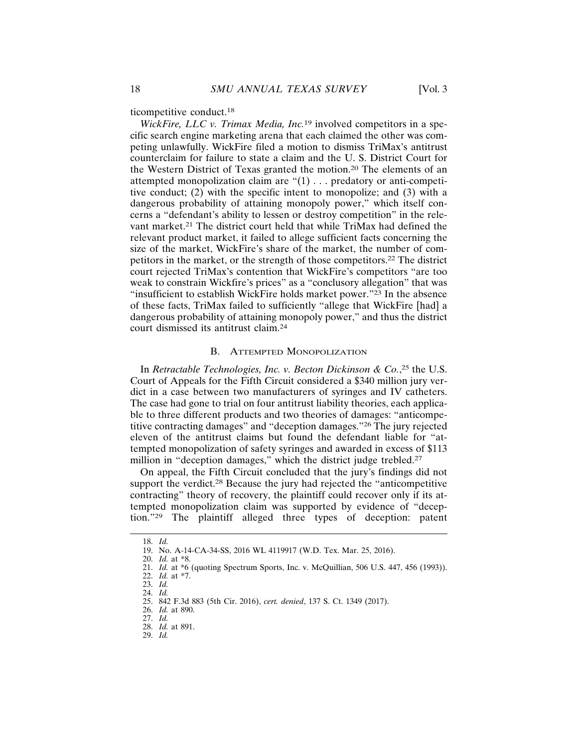*WickFire, LLC v. Trimax Media, Inc.*19 involved competitors in a specific search engine marketing arena that each claimed the other was competing unlawfully. WickFire filed a motion to dismiss TriMax's antitrust counterclaim for failure to state a claim and the U. S. District Court for the Western District of Texas granted the motion.20 The elements of an attempted monopolization claim are "(1) . . . predatory or anti-competitive conduct; (2) with the specific intent to monopolize; and (3) with a dangerous probability of attaining monopoly power," which itself concerns a "defendant's ability to lessen or destroy competition" in the relevant market.21 The district court held that while TriMax had defined the relevant product market, it failed to allege sufficient facts concerning the size of the market, WickFire's share of the market, the number of competitors in the market, or the strength of those competitors.22 The district court rejected TriMax's contention that WickFire's competitors "are too weak to constrain Wickfire's prices" as a "conclusory allegation" that was "insufficient to establish WickFire holds market power."23 In the absence of these facts, TriMax failed to sufficiently "allege that WickFire [had] a dangerous probability of attaining monopoly power," and thus the district court dismissed its antitrust claim.<sup>24</sup>

#### B. ATTEMPTED MONOPOLIZATION

In *Retractable Technologies, Inc. v. Becton Dickinson & Co.*, 25 the U.S. Court of Appeals for the Fifth Circuit considered a \$340 million jury verdict in a case between two manufacturers of syringes and IV catheters. The case had gone to trial on four antitrust liability theories, each applicable to three different products and two theories of damages: "anticompetitive contracting damages" and "deception damages."26 The jury rejected eleven of the antitrust claims but found the defendant liable for "attempted monopolization of safety syringes and awarded in excess of \$113 million in "deception damages," which the district judge trebled.<sup>27</sup>

On appeal, the Fifth Circuit concluded that the jury's findings did not support the verdict.<sup>28</sup> Because the jury had rejected the "anticompetitive" contracting" theory of recovery, the plaintiff could recover only if its attempted monopolization claim was supported by evidence of "deception."29 The plaintiff alleged three types of deception: patent

<sup>18.</sup> *Id.*

<sup>19.</sup> No. A-14-CA-34-SS, 2016 WL 4119917 (W.D. Tex. Mar. 25, 2016).

<sup>20.</sup> *Id.* at \*8.

<sup>21.</sup> *Id.* at \*6 (quoting Spectrum Sports, Inc. v. McQuillian, 506 U.S. 447, 456 (1993)).

<sup>22.</sup> *Id.* at \*7.

<sup>23.</sup> *Id.*

<sup>24.</sup> *Id.*

<sup>25. 842</sup> F.3d 883 (5th Cir. 2016), *cert. denied*, 137 S. Ct. 1349 (2017).

<sup>26.</sup> *Id.* at 890.

<sup>27.</sup> *Id.*

<sup>28.</sup> *Id.* at 891. 29. *Id.*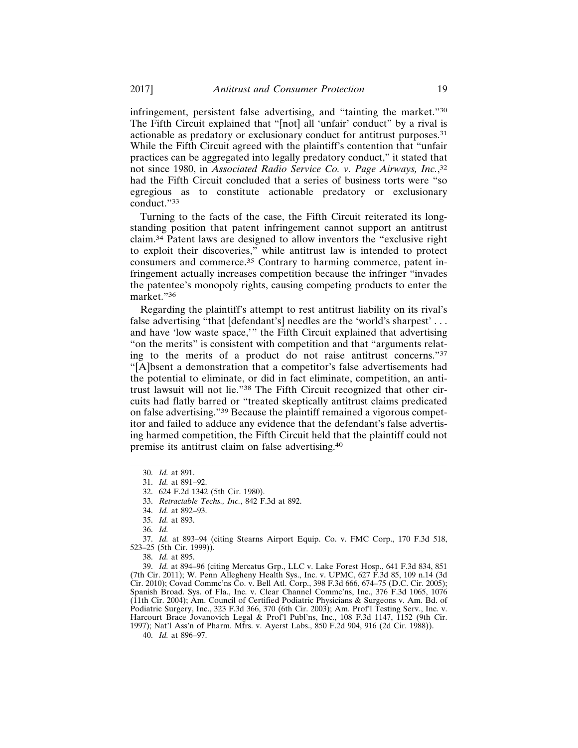infringement, persistent false advertising, and "tainting the market."<sup>30</sup> The Fifth Circuit explained that "[not] all 'unfair' conduct" by a rival is actionable as predatory or exclusionary conduct for antitrust purposes.<sup>31</sup> While the Fifth Circuit agreed with the plaintiff's contention that "unfair practices can be aggregated into legally predatory conduct," it stated that not since 1980, in *Associated Radio Service Co. v. Page Airways, Inc.*, 32 had the Fifth Circuit concluded that a series of business torts were "so egregious as to constitute actionable predatory or exclusionary conduct."<sup>33</sup>

Turning to the facts of the case, the Fifth Circuit reiterated its longstanding position that patent infringement cannot support an antitrust claim.34 Patent laws are designed to allow inventors the "exclusive right to exploit their discoveries," while antitrust law is intended to protect consumers and commerce.35 Contrary to harming commerce, patent infringement actually increases competition because the infringer "invades the patentee's monopoly rights, causing competing products to enter the market."36

Regarding the plaintiff's attempt to rest antitrust liability on its rival's false advertising "that [defendant's] needles are the 'world's sharpest' . . . and have 'low waste space,'" the Fifth Circuit explained that advertising "on the merits" is consistent with competition and that "arguments relating to the merits of a product do not raise antitrust concerns."<sup>37</sup> "[A]bsent a demonstration that a competitor's false advertisements had the potential to eliminate, or did in fact eliminate, competition, an antitrust lawsuit will not lie."38 The Fifth Circuit recognized that other circuits had flatly barred or "treated skeptically antitrust claims predicated on false advertising."39 Because the plaintiff remained a vigorous competitor and failed to adduce any evidence that the defendant's false advertising harmed competition, the Fifth Circuit held that the plaintiff could not premise its antitrust claim on false advertising.<sup>40</sup>

39. *Id.* at 894–96 (citing Mercatus Grp., LLC v. Lake Forest Hosp., 641 F.3d 834, 851 (7th Cir. 2011); W. Penn Allegheny Health Sys., Inc. v. UPMC, 627 F.3d 85, 109 n.14 (3d Cir. 2010); Covad Commc'ns Co. v. Bell Atl. Corp., 398 F.3d 666, 674–75 (D.C. Cir. 2005); Spanish Broad. Sys. of Fla., Inc. v. Clear Channel Comme'ns, Inc., 376 F.3d 1065, 1076 (11th Cir. 2004); Am. Council of Certified Podiatric Physicians & Surgeons v. Am. Bd. of Podiatric Surgery, Inc., 323 F.3d 366, 370 (6th Cir. 2003); Am. Prof'l Testing Serv., Inc. v. Harcourt Brace Jovanovich Legal & Prof'l Publ'ns, Inc., 108 F.3d 1147, 1152 (9th Cir. 1997); Nat'l Ass'n of Pharm. Mfrs. v. Ayerst Labs., 850 F.2d 904, 916 (2d Cir. 1988)).

40. *Id.* at 896–97.

<sup>30.</sup> *Id.* at 891.

<sup>31.</sup> *Id.* at 891–92.

<sup>32. 624</sup> F.2d 1342 (5th Cir. 1980).

<sup>33.</sup> *Retractable Techs., Inc.*, 842 F.3d at 892.

<sup>34.</sup> *Id.* at 892–93.

<sup>35.</sup> *Id.* at 893.

<sup>36.</sup> *Id.*

<sup>37.</sup> *Id.* at 893–94 (citing Stearns Airport Equip. Co. v. FMC Corp., 170 F.3d 518, 523–25 (5th Cir. 1999)).

<sup>38.</sup> *Id.* at 895.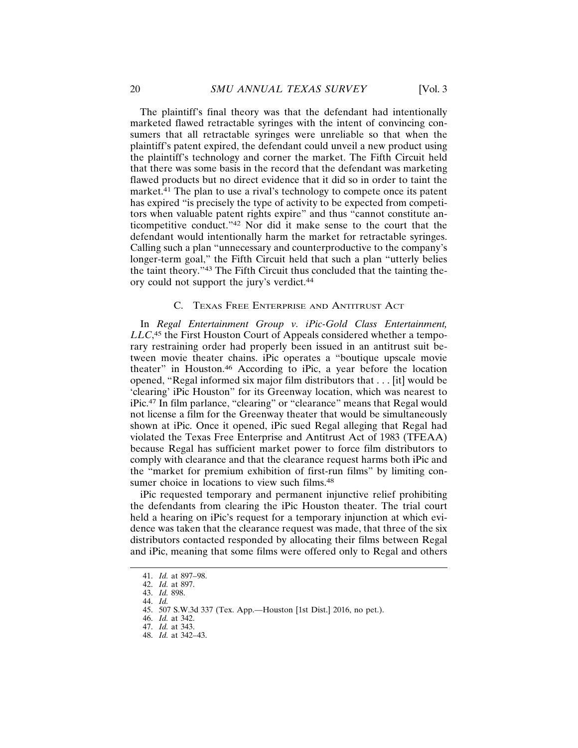The plaintiff's final theory was that the defendant had intentionally marketed flawed retractable syringes with the intent of convincing consumers that all retractable syringes were unreliable so that when the plaintiff's patent expired, the defendant could unveil a new product using the plaintiff's technology and corner the market. The Fifth Circuit held that there was some basis in the record that the defendant was marketing flawed products but no direct evidence that it did so in order to taint the market.<sup>41</sup> The plan to use a rival's technology to compete once its patent has expired "is precisely the type of activity to be expected from competitors when valuable patent rights expire" and thus "cannot constitute anticompetitive conduct."42 Nor did it make sense to the court that the defendant would intentionally harm the market for retractable syringes. Calling such a plan "unnecessary and counterproductive to the company's longer-term goal," the Fifth Circuit held that such a plan "utterly belies the taint theory."43 The Fifth Circuit thus concluded that the tainting theory could not support the jury's verdict.<sup>44</sup>

#### C. TEXAS FREE ENTERPRISE AND ANTITRUST ACT

In *Regal Entertainment Group v. iPic-Gold Class Entertainment, LLC*, 45 the First Houston Court of Appeals considered whether a temporary restraining order had properly been issued in an antitrust suit between movie theater chains. iPic operates a "boutique upscale movie theater" in Houston.46 According to iPic, a year before the location opened, "Regal informed six major film distributors that . . . [it] would be 'clearing' iPic Houston" for its Greenway location, which was nearest to iPic.47 In film parlance, "clearing" or "clearance" means that Regal would not license a film for the Greenway theater that would be simultaneously shown at iPic. Once it opened, iPic sued Regal alleging that Regal had violated the Texas Free Enterprise and Antitrust Act of 1983 (TFEAA) because Regal has sufficient market power to force film distributors to comply with clearance and that the clearance request harms both iPic and the "market for premium exhibition of first-run films" by limiting consumer choice in locations to view such films.<sup>48</sup>

iPic requested temporary and permanent injunctive relief prohibiting the defendants from clearing the iPic Houston theater. The trial court held a hearing on iPic's request for a temporary injunction at which evidence was taken that the clearance request was made, that three of the six distributors contacted responded by allocating their films between Regal and iPic, meaning that some films were offered only to Regal and others

<sup>41.</sup> *Id.* at 897–98.

<sup>42.</sup> *Id.* at 897.

<sup>43.</sup> *Id.* 898. 44. *Id.*

<sup>45. 507</sup> S.W.3d 337 (Tex. App.—Houston [1st Dist.] 2016, no pet.).

<sup>46.</sup> *Id.* at 342.

<sup>47.</sup> *Id.* at 343.

<sup>48.</sup> *Id.* at 342–43.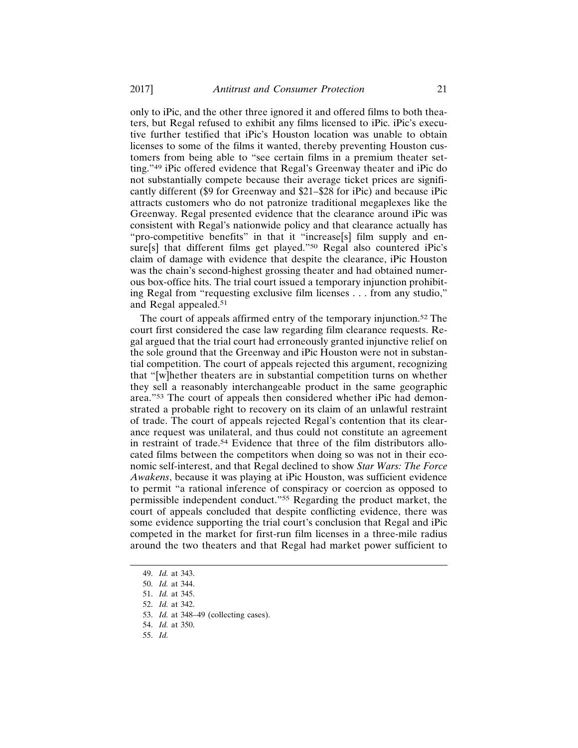only to iPic, and the other three ignored it and offered films to both theaters, but Regal refused to exhibit any films licensed to iPic. iPic's executive further testified that iPic's Houston location was unable to obtain licenses to some of the films it wanted, thereby preventing Houston customers from being able to "see certain films in a premium theater setting."49 iPic offered evidence that Regal's Greenway theater and iPic do not substantially compete because their average ticket prices are significantly different (\$9 for Greenway and \$21–\$28 for iPic) and because iPic attracts customers who do not patronize traditional megaplexes like the Greenway. Regal presented evidence that the clearance around iPic was consistent with Regal's nationwide policy and that clearance actually has "pro-competitive benefits" in that it "increase[s] film supply and ensure[s] that different films get played."<sup>50</sup> Regal also countered iPic's claim of damage with evidence that despite the clearance, iPic Houston was the chain's second-highest grossing theater and had obtained numerous box-office hits. The trial court issued a temporary injunction prohibiting Regal from "requesting exclusive film licenses . . . from any studio," and Regal appealed.<sup>51</sup>

The court of appeals affirmed entry of the temporary injunction.52 The court first considered the case law regarding film clearance requests. Regal argued that the trial court had erroneously granted injunctive relief on the sole ground that the Greenway and iPic Houston were not in substantial competition. The court of appeals rejected this argument, recognizing that "[w]hether theaters are in substantial competition turns on whether they sell a reasonably interchangeable product in the same geographic area."53 The court of appeals then considered whether iPic had demonstrated a probable right to recovery on its claim of an unlawful restraint of trade. The court of appeals rejected Regal's contention that its clearance request was unilateral, and thus could not constitute an agreement in restraint of trade.<sup>54</sup> Evidence that three of the film distributors allocated films between the competitors when doing so was not in their economic self-interest, and that Regal declined to show *Star Wars: The Force Awakens*, because it was playing at iPic Houston, was sufficient evidence to permit "a rational inference of conspiracy or coercion as opposed to permissible independent conduct."55 Regarding the product market, the court of appeals concluded that despite conflicting evidence, there was some evidence supporting the trial court's conclusion that Regal and iPic competed in the market for first-run film licenses in a three-mile radius around the two theaters and that Regal had market power sufficient to

- 54. *Id.* at 350.
- 55. *Id.*

<sup>49.</sup> *Id.* at 343.

<sup>50.</sup> *Id.* at 344.

<sup>51.</sup> *Id.* at 345.

<sup>52.</sup> *Id.* at 342.

<sup>53.</sup> *Id.* at 348–49 (collecting cases).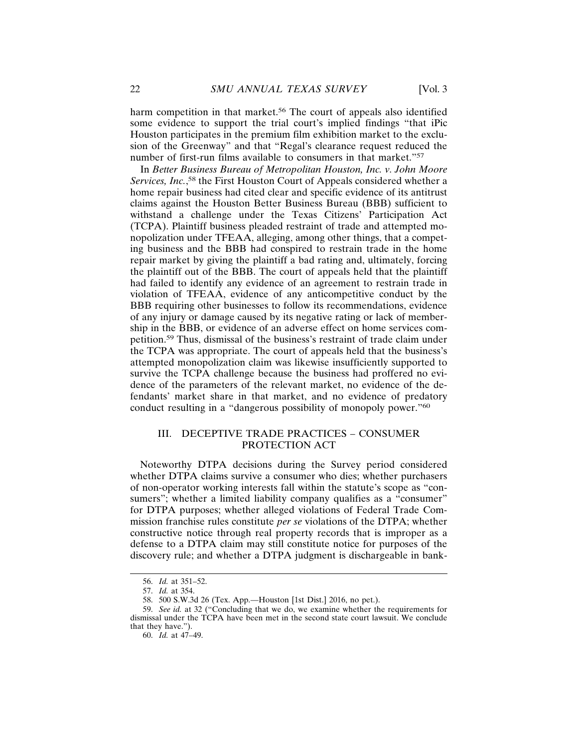harm competition in that market.<sup>56</sup> The court of appeals also identified some evidence to support the trial court's implied findings "that iPic Houston participates in the premium film exhibition market to the exclusion of the Greenway" and that "Regal's clearance request reduced the number of first-run films available to consumers in that market."<sup>57</sup>

In *Better Business Bureau of Metropolitan Houston, Inc. v. John Moore Services, Inc.*, 58 the First Houston Court of Appeals considered whether a home repair business had cited clear and specific evidence of its antitrust claims against the Houston Better Business Bureau (BBB) sufficient to withstand a challenge under the Texas Citizens' Participation Act (TCPA). Plaintiff business pleaded restraint of trade and attempted monopolization under TFEAA, alleging, among other things, that a competing business and the BBB had conspired to restrain trade in the home repair market by giving the plaintiff a bad rating and, ultimately, forcing the plaintiff out of the BBB. The court of appeals held that the plaintiff had failed to identify any evidence of an agreement to restrain trade in violation of TFEAA, evidence of any anticompetitive conduct by the BBB requiring other businesses to follow its recommendations, evidence of any injury or damage caused by its negative rating or lack of membership in the BBB, or evidence of an adverse effect on home services competition.59 Thus, dismissal of the business's restraint of trade claim under the TCPA was appropriate. The court of appeals held that the business's attempted monopolization claim was likewise insufficiently supported to survive the TCPA challenge because the business had proffered no evidence of the parameters of the relevant market, no evidence of the defendants' market share in that market, and no evidence of predatory conduct resulting in a "dangerous possibility of monopoly power."<sup>60</sup>

# III. DECEPTIVE TRADE PRACTICES – CONSUMER PROTECTION ACT

Noteworthy DTPA decisions during the Survey period considered whether DTPA claims survive a consumer who dies; whether purchasers of non-operator working interests fall within the statute's scope as "consumers"; whether a limited liability company qualifies as a "consumer" for DTPA purposes; whether alleged violations of Federal Trade Commission franchise rules constitute *per se* violations of the DTPA; whether constructive notice through real property records that is improper as a defense to a DTPA claim may still constitute notice for purposes of the discovery rule; and whether a DTPA judgment is dischargeable in bank-

<sup>56.</sup> *Id.* at 351–52.

<sup>57.</sup> *Id.* at 354.

<sup>58. 500</sup> S.W.3d 26 (Tex. App.—Houston [1st Dist.] 2016, no pet.).

<sup>59.</sup> *See id.* at 32 ("Concluding that we do, we examine whether the requirements for dismissal under the TCPA have been met in the second state court lawsuit. We conclude that they have.").

<sup>60.</sup> *Id.* at 47–49.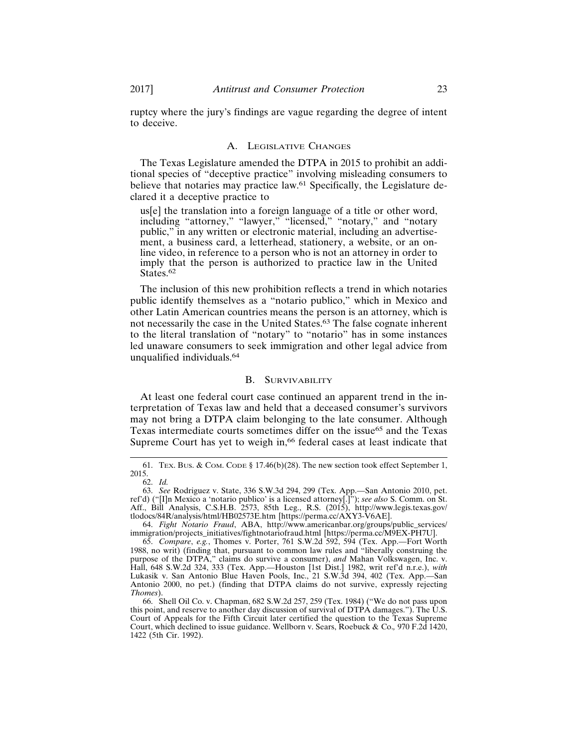ruptcy where the jury's findings are vague regarding the degree of intent to deceive.

#### A. LEGISLATIVE CHANGES

The Texas Legislature amended the DTPA in 2015 to prohibit an additional species of "deceptive practice" involving misleading consumers to believe that notaries may practice law.<sup>61</sup> Specifically, the Legislature declared it a deceptive practice to

us[e] the translation into a foreign language of a title or other word, including "attorney," "lawyer," "licensed," "notary," and "notary public," in any written or electronic material, including an advertisement, a business card, a letterhead, stationery, a website, or an online video, in reference to a person who is not an attorney in order to imply that the person is authorized to practice law in the United States.<sup>62</sup>

The inclusion of this new prohibition reflects a trend in which notaries public identify themselves as a "notario publico," which in Mexico and other Latin American countries means the person is an attorney, which is not necessarily the case in the United States.<sup>63</sup> The false cognate inherent to the literal translation of "notary" to "notario" has in some instances led unaware consumers to seek immigration and other legal advice from unqualified individuals.<sup>64</sup>

# B. SURVIVABILITY

At least one federal court case continued an apparent trend in the interpretation of Texas law and held that a deceased consumer's survivors may not bring a DTPA claim belonging to the late consumer. Although Texas intermediate courts sometimes differ on the issue<sup>65</sup> and the Texas Supreme Court has yet to weigh in,<sup>66</sup> federal cases at least indicate that

<sup>61.</sup> TEX. BUS. & COM. CODE § 17.46(b)(28). The new section took effect September 1, 2015. 62. *Id.*

<sup>63.</sup> *See* Rodriguez v. State, 336 S.W.3d 294, 299 (Tex. App.—San Antonio 2010, pet. ref'd) ("[I]n Mexico a 'notario publico' is a licensed attorney[.]"); *see also* S. Comm. on St. Aff., Bill Analysis, C.S.H.B. 2573, 85th Leg., R.S. (2015), http://www.legis.texas.gov/ tlodocs/84R/analysis/html/HB02573E.htm [https://perma.cc/AXY3-V6AE].

<sup>64.</sup> *Fight Notario Fraud*, ABA, http://www.americanbar.org/groups/public\_services/ immigration/projects\_initiatives/fightnotariofraud.html [https://perma.cc/M9EX-PH7U].

<sup>65.</sup> *Compare*, *e.g.*, Thomes v. Porter, 761 S.W.2d 592, 594 (Tex. App.—Fort Worth 1988, no writ) (finding that, pursuant to common law rules and "liberally construing the purpose of the DTPA," claims do survive a consumer), *and* Mahan Volkswagen, Inc. v. Hall, 648 S.W.2d 324, 333 (Tex. App.—Houston [1st Dist.] 1982, writ ref'd n.r.e.), *with* Lukasik v. San Antonio Blue Haven Pools, Inc., 21 S.W.3d 394, 402 (Tex. App.—San Antonio 2000, no pet.) (finding that DTPA claims do not survive, expressly rejecting *Thomes*).

<sup>66.</sup> Shell Oil Co. v. Chapman, 682 S.W.2d 257, 259 (Tex. 1984) ("We do not pass upon this point, and reserve to another day discussion of survival of DTPA damages."). The U.S. Court of Appeals for the Fifth Circuit later certified the question to the Texas Supreme Court, which declined to issue guidance. Wellborn v. Sears, Roebuck & Co.*,* 970 F.2d 1420, 1422 (5th Cir. 1992).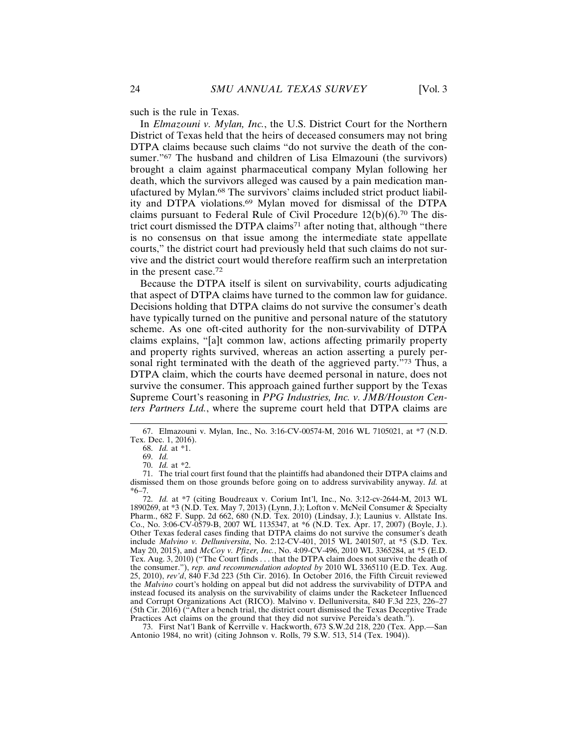In *Elmazouni v. Mylan, Inc.*, the U.S. District Court for the Northern District of Texas held that the heirs of deceased consumers may not bring DTPA claims because such claims "do not survive the death of the consumer."<sup>67</sup> The husband and children of Lisa Elmazouni (the survivors) brought a claim against pharmaceutical company Mylan following her death, which the survivors alleged was caused by a pain medication manufactured by Mylan.68 The survivors' claims included strict product liability and DTPA violations.69 Mylan moved for dismissal of the DTPA claims pursuant to Federal Rule of Civil Procedure 12(b)(6).70 The district court dismissed the DTPA claims<sup>71</sup> after noting that, although "there is no consensus on that issue among the intermediate state appellate courts," the district court had previously held that such claims do not survive and the district court would therefore reaffirm such an interpretation in the present case.<sup>72</sup>

Because the DTPA itself is silent on survivability, courts adjudicating that aspect of DTPA claims have turned to the common law for guidance. Decisions holding that DTPA claims do not survive the consumer's death have typically turned on the punitive and personal nature of the statutory scheme. As one oft-cited authority for the non-survivability of DTPA claims explains, "[a]t common law, actions affecting primarily property and property rights survived, whereas an action asserting a purely personal right terminated with the death of the aggrieved party."73 Thus, a DTPA claim, which the courts have deemed personal in nature, does not survive the consumer. This approach gained further support by the Texas Supreme Court's reasoning in *PPG Industries, Inc. v. JMB/Houston Centers Partners Ltd.*, where the supreme court held that DTPA claims are

73. First Nat'l Bank of Kerrville v. Hackworth, 673 S.W.2d 218, 220 (Tex. App.—San Antonio 1984, no writ) (citing Johnson v. Rolls, 79 S.W. 513, 514 (Tex. 1904)).

<sup>67.</sup> Elmazouni v. Mylan, Inc., No. 3:16-CV-00574-M, 2016 WL 7105021, at \*7 (N.D. Tex. Dec. 1, 2016).

<sup>68.</sup> *Id.* at \*1.

<sup>69.</sup> *Id.*

<sup>70.</sup> *Id.* at \*2.

<sup>71.</sup> The trial court first found that the plaintiffs had abandoned their DTPA claims and dismissed them on those grounds before going on to address survivability anyway. *Id.* at \*6–7.

<sup>72.</sup> *Id.* at \*7 (citing Boudreaux v. Corium Int'l, Inc., No. 3:12-cv-2644-M, 2013 WL 1890269, at \*3 (N.D. Tex. May 7, 2013) (Lynn, J.); Lofton v. McNeil Consumer & Specialty Pharm., 682 F. Supp. 2d 662, 680 (N.D. Tex. 2010) (Lindsay, J.); Launius v. Allstate Ins. Co., No. 3:06-CV-0579-B, 2007 WL 1135347, at \*6 (N.D. Tex. Apr. 17, 2007) (Boyle, J.). Other Texas federal cases finding that DTPA claims do not survive the consumer's death include *Malvino v. Delluniversita*, No. 2:12-CV-401, 2015 WL 2401507, at \*5 (S.D. Tex. May 20, 2015), and *McCoy v. Pfizer, Inc.*, No. 4:09-CV-496, 2010 WL 3365284, at \*5 (E.D. Tex. Aug. 3, 2010) ("The Court finds . . . that the DTPA claim does not survive the death of the consumer."), *rep. and recommendation adopted by* 2010 WL 3365110 (E.D. Tex. Aug. 25, 2010), *rev'd*, 840 F.3d 223 (5th Cir. 2016). In October 2016, the Fifth Circuit reviewed the *Malvino* court's holding on appeal but did not address the survivability of DTPA and instead focused its analysis on the survivability of claims under the Racketeer Influenced and Corrupt Organizations Act (RICO). Malvino v. Delluniversita, 840 F.3d 223, 226–27 (5th Cir. 2016) ("After a bench trial, the district court dismissed the Texas Deceptive Trade Practices Act claims on the ground that they did not survive Pereida's death.<sup>"</sup>).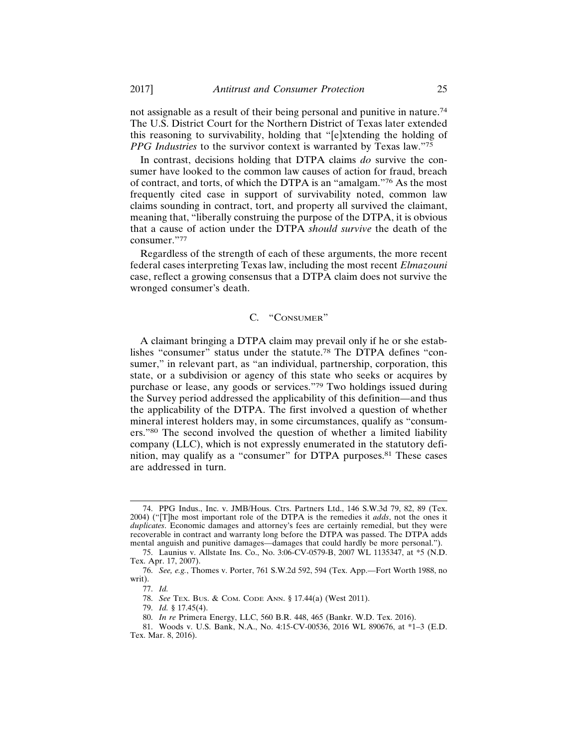not assignable as a result of their being personal and punitive in nature.<sup>74</sup> The U.S. District Court for the Northern District of Texas later extended this reasoning to survivability, holding that "[e]xtending the holding of *PPG Industries* to the survivor context is warranted by Texas law."<sup>75</sup>

In contrast, decisions holding that DTPA claims *do* survive the consumer have looked to the common law causes of action for fraud, breach of contract, and torts, of which the DTPA is an "amalgam."76 As the most frequently cited case in support of survivability noted, common law claims sounding in contract, tort, and property all survived the claimant, meaning that, "liberally construing the purpose of the DTPA, it is obvious that a cause of action under the DTPA *should survive* the death of the consumer."77

Regardless of the strength of each of these arguments, the more recent federal cases interpreting Texas law, including the most recent *Elmazouni* case, reflect a growing consensus that a DTPA claim does not survive the wronged consumer's death.

# C. "CONSUMER"

A claimant bringing a DTPA claim may prevail only if he or she establishes "consumer" status under the statute.78 The DTPA defines "consumer," in relevant part, as "an individual, partnership, corporation, this state, or a subdivision or agency of this state who seeks or acquires by purchase or lease, any goods or services."79 Two holdings issued during the Survey period addressed the applicability of this definition—and thus the applicability of the DTPA. The first involved a question of whether mineral interest holders may, in some circumstances, qualify as "consumers."80 The second involved the question of whether a limited liability company (LLC), which is not expressly enumerated in the statutory definition, may qualify as a "consumer" for DTPA purposes.<sup>81</sup> These cases are addressed in turn.

<sup>74.</sup> PPG Indus., Inc. v. JMB/Hous. Ctrs. Partners Ltd., 146 S.W.3d 79, 82, 89 (Tex. 2004) ("[T]he most important role of the DTPA is the remedies it *adds*, not the ones it *duplicates*. Economic damages and attorney's fees are certainly remedial, but they were recoverable in contract and warranty long before the DTPA was passed. The DTPA adds mental anguish and punitive damages—damages that could hardly be more personal.").

<sup>75.</sup> Launius v. Allstate Ins. Co., No. 3:06-CV-0579-B, 2007 WL 1135347, at \*5 (N.D. Tex. Apr. 17, 2007).

<sup>76.</sup> *See, e.g.*, Thomes v. Porter, 761 S.W.2d 592, 594 (Tex. App.—Fort Worth 1988, no writ).

<sup>77.</sup> *Id.*

<sup>78.</sup> *See* TEX. BUS. & COM. CODE ANN. § 17.44(a) (West 2011).

<sup>79.</sup> *Id.* § 17.45(4).

<sup>80.</sup> *In re* Primera Energy, LLC, 560 B.R. 448, 465 (Bankr. W.D. Tex. 2016).

<sup>81.</sup> Woods v. U.S. Bank, N.A., No. 4:15-CV-00536, 2016 WL 890676, at \*1–3 (E.D. Tex. Mar. 8, 2016).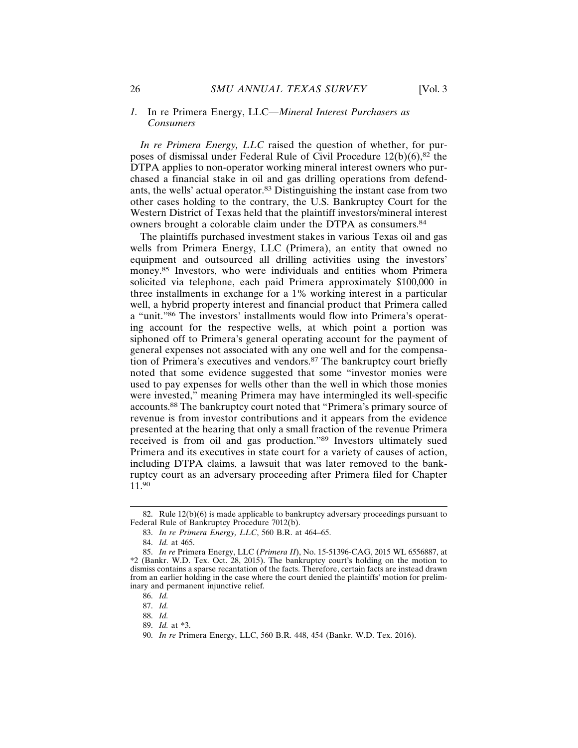#### *1.* In re Primera Energy, LLC*—Mineral Interest Purchasers as Consumers*

*In re Primera Energy, LLC* raised the question of whether, for purposes of dismissal under Federal Rule of Civil Procedure  $12(b)(6)$ ,  $82$  the DTPA applies to non-operator working mineral interest owners who purchased a financial stake in oil and gas drilling operations from defendants, the wells' actual operator.83 Distinguishing the instant case from two other cases holding to the contrary, the U.S. Bankruptcy Court for the Western District of Texas held that the plaintiff investors/mineral interest owners brought a colorable claim under the DTPA as consumers.<sup>84</sup>

The plaintiffs purchased investment stakes in various Texas oil and gas wells from Primera Energy, LLC (Primera), an entity that owned no equipment and outsourced all drilling activities using the investors' money.85 Investors, who were individuals and entities whom Primera solicited via telephone, each paid Primera approximately \$100,000 in three installments in exchange for a 1% working interest in a particular well, a hybrid property interest and financial product that Primera called a "unit."86 The investors' installments would flow into Primera's operating account for the respective wells, at which point a portion was siphoned off to Primera's general operating account for the payment of general expenses not associated with any one well and for the compensation of Primera's executives and vendors.87 The bankruptcy court briefly noted that some evidence suggested that some "investor monies were used to pay expenses for wells other than the well in which those monies were invested," meaning Primera may have intermingled its well-specific accounts.88 The bankruptcy court noted that "Primera's primary source of revenue is from investor contributions and it appears from the evidence presented at the hearing that only a small fraction of the revenue Primera received is from oil and gas production."89 Investors ultimately sued Primera and its executives in state court for a variety of causes of action, including DTPA claims, a lawsuit that was later removed to the bankruptcy court as an adversary proceeding after Primera filed for Chapter 11.90

89. *Id.* at \*3.

<sup>82.</sup> Rule 12(b)(6) is made applicable to bankruptcy adversary proceedings pursuant to Federal Rule of Bankruptcy Procedure 7012(b).

<sup>83.</sup> *In re Primera Energy, LLC*, 560 B.R. at 464–65.

<sup>84.</sup> *Id.* at 465.

<sup>85.</sup> *In re* Primera Energy, LLC (*Primera II*), No. 15-51396-CAG, 2015 WL 6556887, at \*2 (Bankr. W.D. Tex. Oct. 28, 2015). The bankruptcy court's holding on the motion to dismiss contains a sparse recantation of the facts. Therefore, certain facts are instead drawn from an earlier holding in the case where the court denied the plaintiffs' motion for preliminary and permanent injunctive relief.

<sup>86.</sup> *Id.*

<sup>87.</sup> *Id.*

<sup>88.</sup> *Id.*

<sup>90.</sup> *In re* Primera Energy, LLC, 560 B.R. 448, 454 (Bankr. W.D. Tex. 2016).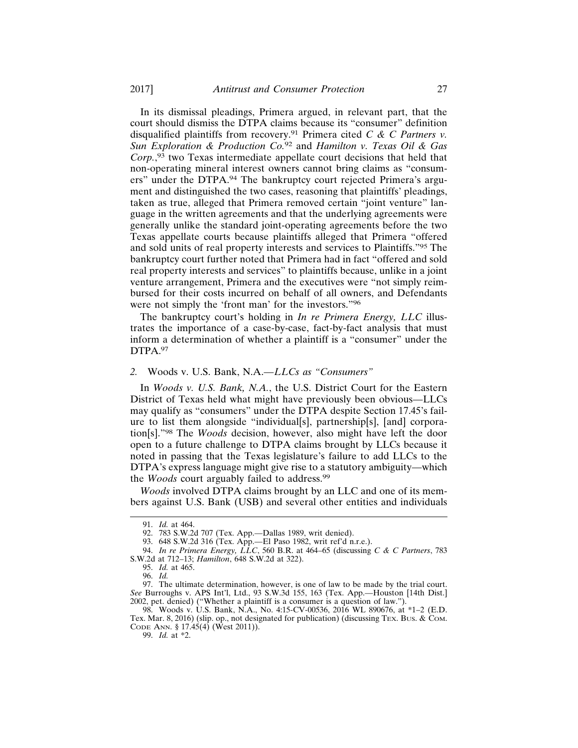In its dismissal pleadings, Primera argued, in relevant part, that the court should dismiss the DTPA claims because its "consumer" definition disqualified plaintiffs from recovery.91 Primera cited *C & C Partners v. Sun Exploration & Production Co.*92 and *Hamilton v. Texas Oil & Gas Corp.*, 93 two Texas intermediate appellate court decisions that held that non-operating mineral interest owners cannot bring claims as "consumers" under the DTPA.94 The bankruptcy court rejected Primera's argument and distinguished the two cases, reasoning that plaintiffs' pleadings, taken as true, alleged that Primera removed certain "joint venture" language in the written agreements and that the underlying agreements were generally unlike the standard joint-operating agreements before the two Texas appellate courts because plaintiffs alleged that Primera "offered and sold units of real property interests and services to Plaintiffs."95 The bankruptcy court further noted that Primera had in fact "offered and sold real property interests and services" to plaintiffs because, unlike in a joint venture arrangement, Primera and the executives were "not simply reimbursed for their costs incurred on behalf of all owners, and Defendants were not simply the 'front man' for the investors."<sup>96</sup>

The bankruptcy court's holding in *In re Primera Energy, LLC* illustrates the importance of a case-by-case, fact-by-fact analysis that must inform a determination of whether a plaintiff is a "consumer" under the DTPA.97

## *2.* Woods v. U.S. Bank, N.A.*—LLCs as "Consumers"*

In *Woods v. U.S. Bank, N.A.*, the U.S. District Court for the Eastern District of Texas held what might have previously been obvious—LLCs may qualify as "consumers" under the DTPA despite Section 17.45's failure to list them alongside "individual[s], partnership[s], [and] corporation[s]."98 The *Woods* decision, however, also might have left the door open to a future challenge to DTPA claims brought by LLCs because it noted in passing that the Texas legislature's failure to add LLCs to the DTPA's express language might give rise to a statutory ambiguity—which the *Woods* court arguably failed to address.<sup>99</sup>

*Woods* involved DTPA claims brought by an LLC and one of its members against U.S. Bank (USB) and several other entities and individuals

98. Woods v. U.S. Bank, N.A., No. 4:15-CV-00536, 2016 WL 890676, at \*1–2 (E.D. Tex. Mar. 8, 2016) (slip. op., not designated for publication) (discussing TEX. Bus. & COM. CODE ANN. § 17.45(4) (West 2011)).

99. *Id.* at \*2.

<sup>91.</sup> *Id.* at 464.

<sup>92. 783</sup> S.W.2d 707 (Tex. App.—Dallas 1989, writ denied).

<sup>93. 648</sup> S.W.2d 316 (Tex. App.—El Paso 1982, writ ref'd n.r.e.).

<sup>94.</sup> *In re Primera Energy, LLC*, 560 B.R. at 464–65 (discussing *C & C Partners*, 783 S.W.2d at 712–13; *Hamilton*, 648 S.W.2d at 322).

<sup>95.</sup> *Id.* at 465.

<sup>96.</sup> *Id.*

<sup>97.</sup> The ultimate determination, however, is one of law to be made by the trial court. *See* Burroughs v. APS Int'l, Ltd., 93 S.W.3d 155, 163 (Tex. App.—Houston [14th Dist.] 2002, pet. denied) ("Whether a plaintiff is a consumer is a question of law.").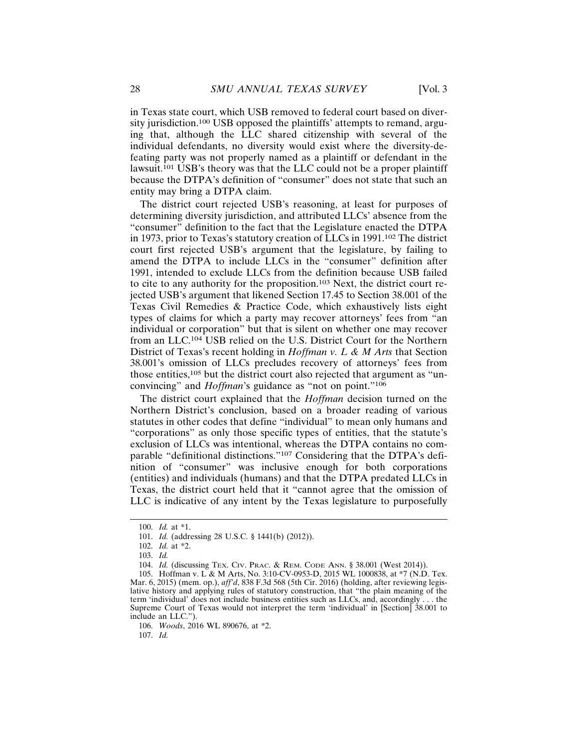in Texas state court, which USB removed to federal court based on diversity jurisdiction.100 USB opposed the plaintiffs' attempts to remand, arguing that, although the LLC shared citizenship with several of the individual defendants, no diversity would exist where the diversity-defeating party was not properly named as a plaintiff or defendant in the lawsuit.<sup>101</sup> USB's theory was that the LLC could not be a proper plaintiff because the DTPA's definition of "consumer" does not state that such an entity may bring a DTPA claim.

The district court rejected USB's reasoning, at least for purposes of determining diversity jurisdiction, and attributed LLCs' absence from the "consumer" definition to the fact that the Legislature enacted the DTPA in 1973, prior to Texas's statutory creation of LLCs in 1991.102 The district court first rejected USB's argument that the legislature, by failing to amend the DTPA to include LLCs in the "consumer" definition after 1991, intended to exclude LLCs from the definition because USB failed to cite to any authority for the proposition.103 Next, the district court rejected USB's argument that likened Section 17.45 to Section 38.001 of the Texas Civil Remedies & Practice Code, which exhaustively lists eight types of claims for which a party may recover attorneys' fees from "an individual or corporation" but that is silent on whether one may recover from an LLC.104 USB relied on the U.S. District Court for the Northern District of Texas's recent holding in *Hoffman v. L & M Arts* that Section 38.001's omission of LLCs precludes recovery of attorneys' fees from those entities,<sup>105</sup> but the district court also rejected that argument as "unconvincing" and *Hoffman*'s guidance as "not on point."<sup>106</sup>

The district court explained that the *Hoffman* decision turned on the Northern District's conclusion, based on a broader reading of various statutes in other codes that define "individual" to mean only humans and "corporations" as only those specific types of entities, that the statute's exclusion of LLCs was intentional, whereas the DTPA contains no comparable "definitional distinctions."107 Considering that the DTPA's definition of "consumer" was inclusive enough for both corporations (entities) and individuals (humans) and that the DTPA predated LLCs in Texas, the district court held that it "cannot agree that the omission of LLC is indicative of any intent by the Texas legislature to purposefully

106. *Woods*, 2016 WL 890676, at \*2.

107. *Id.*

<sup>100.</sup> *Id.* at \*1.

<sup>101.</sup> *Id.* (addressing 28 U.S.C. § 1441(b) (2012)).

<sup>102.</sup> *Id.* at \*2.

<sup>103.</sup> *Id.*

<sup>104.</sup> *Id.* (discussing TEX. CIV. PRAC. & REM. CODE ANN. § 38.001 (West 2014)).

<sup>105.</sup> Hoffman v. L & M Arts, No. 3:10-CV-0953-D, 2015 WL 1000838, at \*7 (N.D. Tex. Mar. 6, 2015) (mem. op.), *aff'd*, 838 F.3d 568 (5th Cir. 2016) (holding, after reviewing legislative history and applying rules of statutory construction, that "the plain meaning of the term 'individual' does not include business entities such as LLCs, and, accordingly . . . the Supreme Court of Texas would not interpret the term 'individual' in [Section] 38.001 to include an LLC.").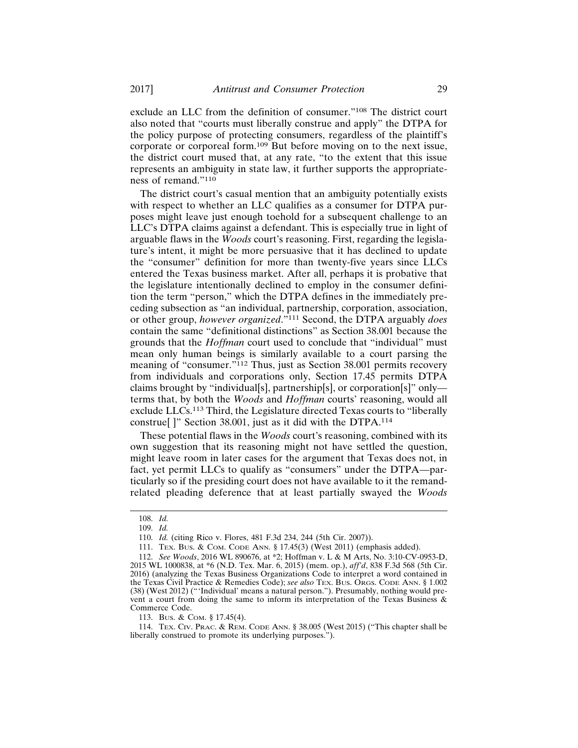exclude an LLC from the definition of consumer."108 The district court also noted that "courts must liberally construe and apply" the DTPA for the policy purpose of protecting consumers, regardless of the plaintiff's corporate or corporeal form.109 But before moving on to the next issue, the district court mused that, at any rate, "to the extent that this issue represents an ambiguity in state law, it further supports the appropriateness of remand."<sup>110</sup>

The district court's casual mention that an ambiguity potentially exists with respect to whether an LLC qualifies as a consumer for DTPA purposes might leave just enough toehold for a subsequent challenge to an LLC's DTPA claims against a defendant. This is especially true in light of arguable flaws in the *Woods* court's reasoning. First, regarding the legislature's intent, it might be more persuasive that it has declined to update the "consumer" definition for more than twenty-five years since LLCs entered the Texas business market. After all, perhaps it is probative that the legislature intentionally declined to employ in the consumer definition the term "person," which the DTPA defines in the immediately preceding subsection as "an individual, partnership, corporation, association, or other group, *however organized*."111 Second, the DTPA arguably *does* contain the same "definitional distinctions" as Section 38.001 because the grounds that the *Hoffman* court used to conclude that "individual" must mean only human beings is similarly available to a court parsing the meaning of "consumer."112 Thus, just as Section 38.001 permits recovery from individuals and corporations only, Section 17.45 permits DTPA claims brought by "individual[s], partnership[s], or corporation[s]" only terms that, by both the *Woods* and *Hoffman* courts' reasoning, would all exclude LLCs.113 Third, the Legislature directed Texas courts to "liberally construe[ ]" Section 38.001, just as it did with the DTPA.<sup>114</sup>

These potential flaws in the *Woods* court's reasoning, combined with its own suggestion that its reasoning might not have settled the question, might leave room in later cases for the argument that Texas does not, in fact, yet permit LLCs to qualify as "consumers" under the DTPA—particularly so if the presiding court does not have available to it the remandrelated pleading deference that at least partially swayed the *Woods*

<sup>108.</sup> *Id.*

<sup>109.</sup> *Id.*

<sup>110.</sup> *Id.* (citing Rico v. Flores, 481 F.3d 234, 244 (5th Cir. 2007)).

<sup>111.</sup> TEX. BUS. & СОМ. СОDE ANN. § 17.45(3) (West 2011) (emphasis added).

<sup>112.</sup> *See Woods*, 2016 WL 890676, at \*2; Hoffman v. L & M Arts, No. 3:10-CV-0953-D, 2015 WL 1000838, at \*6 (N.D. Tex. Mar. 6, 2015) (mem. op.), *aff'd*, 838 F.3d 568 (5th Cir. 2016) (analyzing the Texas Business Organizations Code to interpret a word contained in the Texas Civil Practice & Remedies Code); *see also* TEX. BUS. ORGS. CODE ANN. § 1.002 (38) (West 2012) ("'Individual' means a natural person."). Presumably, nothing would prevent a court from doing the same to inform its interpretation of the Texas Business & Commerce Code.

<sup>113.</sup> BUS. & COM. § 17.45(4).

<sup>114.</sup> TEX. CIV. PRAC. & REM. CODE ANN. § 38.005 (West 2015) ("This chapter shall be liberally construed to promote its underlying purposes.").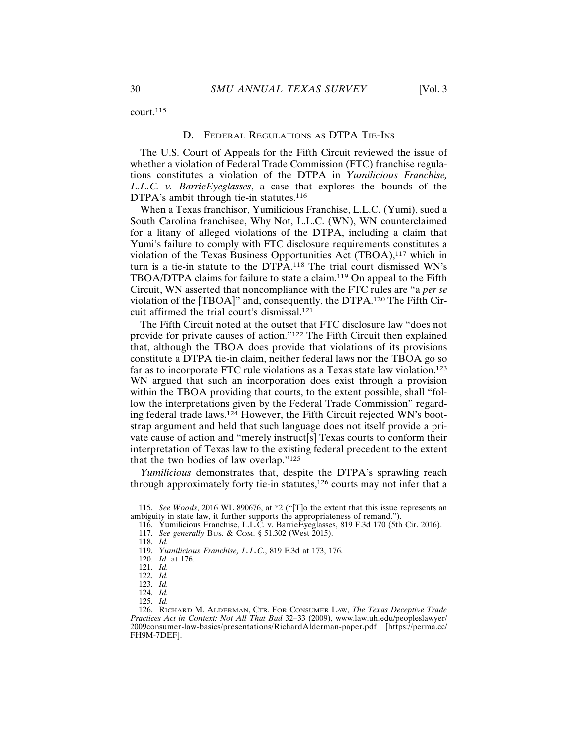court.<sup>115</sup>

# D. FEDERAL REGULATIONS AS DTPA TIE-INS

The U.S. Court of Appeals for the Fifth Circuit reviewed the issue of whether a violation of Federal Trade Commission (FTC) franchise regulations constitutes a violation of the DTPA in *Yumilicious Franchise, L.L.C. v. BarrieEyeglasses*, a case that explores the bounds of the DTPA's ambit through tie-in statutes.<sup>116</sup>

When a Texas franchisor, Yumilicious Franchise, L.L.C. (Yumi), sued a South Carolina franchisee, Why Not, L.L.C. (WN), WN counterclaimed for a litany of alleged violations of the DTPA, including a claim that Yumi's failure to comply with FTC disclosure requirements constitutes a violation of the Texas Business Opportunities Act (TBOA),117 which in turn is a tie-in statute to the DTPA.118 The trial court dismissed WN's TBOA/DTPA claims for failure to state a claim.119 On appeal to the Fifth Circuit, WN asserted that noncompliance with the FTC rules are "a *per se* violation of the [TBOA]" and, consequently, the DTPA.120 The Fifth Circuit affirmed the trial court's dismissal.<sup>121</sup>

The Fifth Circuit noted at the outset that FTC disclosure law "does not provide for private causes of action."122 The Fifth Circuit then explained that, although the TBOA does provide that violations of its provisions constitute a DTPA tie-in claim, neither federal laws nor the TBOA go so far as to incorporate FTC rule violations as a Texas state law violation.<sup>123</sup> WN argued that such an incorporation does exist through a provision within the TBOA providing that courts, to the extent possible, shall "follow the interpretations given by the Federal Trade Commission" regarding federal trade laws.124 However, the Fifth Circuit rejected WN's bootstrap argument and held that such language does not itself provide a private cause of action and "merely instruct[s] Texas courts to conform their interpretation of Texas law to the existing federal precedent to the extent that the two bodies of law overlap."<sup>125</sup>

*Yumilicious* demonstrates that, despite the DTPA's sprawling reach through approximately forty tie-in statutes,<sup>126</sup> courts may not infer that a

<sup>115.</sup> *See Woods*, 2016 WL 890676, at \*2 ("[T]o the extent that this issue represents an ambiguity in state law, it further supports the appropriateness of remand.")

<sup>116.</sup> Yumilicious Franchise, L.L.C. v. BarrieEyeglasses, 819 F.3d 170 (5th Cir. 2016). 117. *See generally* Bus. & COM. § 51.302 (West 2015).

<sup>118.</sup> *Id.*

<sup>119.</sup> *Yumilicious Franchise, L.L.C.*, 819 F.3d at 173, 176.

<sup>120.</sup> *Id.* at 176.

<sup>121.</sup> *Id.*

<sup>122.</sup> *Id.*

<sup>123.</sup> *Id.*

<sup>124.</sup> *Id.*

<sup>125.</sup> *Id.*

<sup>126.</sup> RICHARD M. ALDERMAN, CTR. FOR CONSUMER LAW, *The Texas Deceptive Trade Practices Act in Context: Not All That Bad* 32–33 (2009), www.law.uh.edu/peopleslawyer/ 2009consumer-law-basics/presentations/RichardAlderman-paper.pdf [https://perma.cc/ FH9M-7DEF].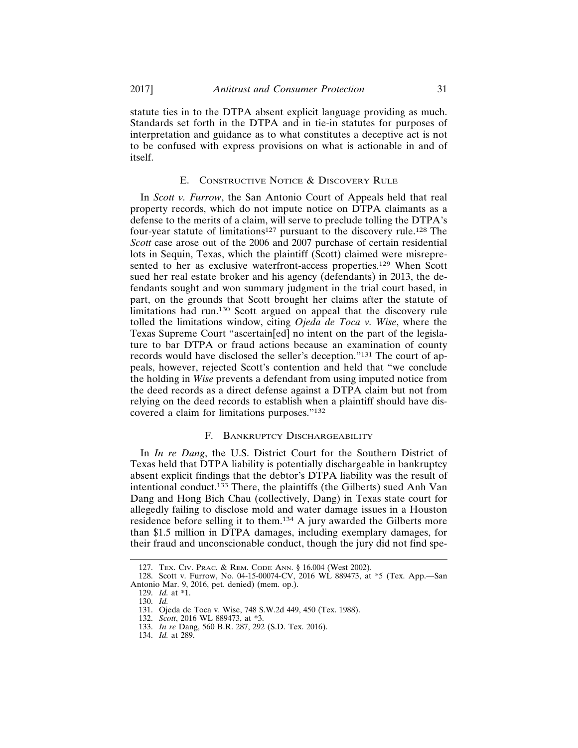statute ties in to the DTPA absent explicit language providing as much. Standards set forth in the DTPA and in tie-in statutes for purposes of interpretation and guidance as to what constitutes a deceptive act is not to be confused with express provisions on what is actionable in and of itself.

# E. CONSTRUCTIVE NOTICE & DISCOVERY RULE

In *Scott v. Furrow*, the San Antonio Court of Appeals held that real property records, which do not impute notice on DTPA claimants as a defense to the merits of a claim, will serve to preclude tolling the DTPA's four-year statute of limitations<sup>127</sup> pursuant to the discovery rule.<sup>128</sup> The *Scott* case arose out of the 2006 and 2007 purchase of certain residential lots in Sequin, Texas, which the plaintiff (Scott) claimed were misrepresented to her as exclusive waterfront-access properties.<sup>129</sup> When Scott sued her real estate broker and his agency (defendants) in 2013, the defendants sought and won summary judgment in the trial court based, in part, on the grounds that Scott brought her claims after the statute of limitations had run.130 Scott argued on appeal that the discovery rule tolled the limitations window, citing *Ojeda de Toca v. Wise*, where the Texas Supreme Court "ascertain[ed] no intent on the part of the legislature to bar DTPA or fraud actions because an examination of county records would have disclosed the seller's deception."131 The court of appeals, however, rejected Scott's contention and held that "we conclude the holding in *Wise* prevents a defendant from using imputed notice from the deed records as a direct defense against a DTPA claim but not from relying on the deed records to establish when a plaintiff should have discovered a claim for limitations purposes."<sup>132</sup>

# F. BANKRUPTCY DISCHARGEABILITY

In *In re Dang*, the U.S. District Court for the Southern District of Texas held that DTPA liability is potentially dischargeable in bankruptcy absent explicit findings that the debtor's DTPA liability was the result of intentional conduct.133 There, the plaintiffs (the Gilberts) sued Anh Van Dang and Hong Bich Chau (collectively, Dang) in Texas state court for allegedly failing to disclose mold and water damage issues in a Houston residence before selling it to them.134 A jury awarded the Gilberts more than \$1.5 million in DTPA damages, including exemplary damages, for their fraud and unconscionable conduct, though the jury did not find spe-

<sup>127.</sup> TEX. CIV. PRAC. & REM. CODE ANN. § 16.004 (West 2002).

<sup>128.</sup> Scott v. Furrow, No. 04-15-00074-CV, 2016 WL 889473, at \*5 (Tex. App.—San Antonio Mar. 9, 2016, pet. denied) (mem. op.).

<sup>129.</sup> *Id.* at \*1.

<sup>130.</sup> *Id.*

<sup>131.</sup> Ojeda de Toca v. Wise, 748 S.W.2d 449, 450 (Tex. 1988).

<sup>132.</sup> *Scott*, 2016 WL 889473, at \*3.

<sup>133.</sup> *In re* Dang, 560 B.R. 287, 292 (S.D. Tex. 2016).

<sup>134.</sup> *Id.* at 289.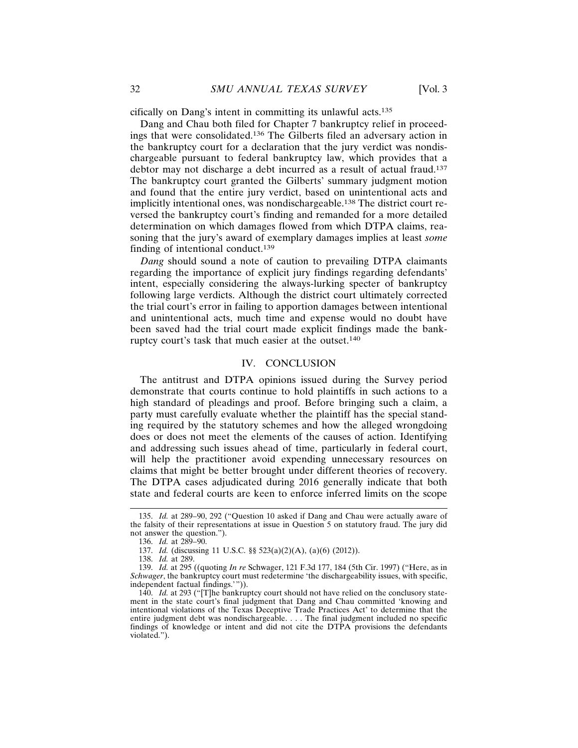cifically on Dang's intent in committing its unlawful acts.<sup>135</sup>

Dang and Chau both filed for Chapter 7 bankruptcy relief in proceedings that were consolidated.136 The Gilberts filed an adversary action in the bankruptcy court for a declaration that the jury verdict was nondischargeable pursuant to federal bankruptcy law, which provides that a debtor may not discharge a debt incurred as a result of actual fraud.<sup>137</sup> The bankruptcy court granted the Gilberts' summary judgment motion and found that the entire jury verdict, based on unintentional acts and implicitly intentional ones, was nondischargeable.138 The district court reversed the bankruptcy court's finding and remanded for a more detailed determination on which damages flowed from which DTPA claims, reasoning that the jury's award of exemplary damages implies at least *some* finding of intentional conduct.<sup>139</sup>

*Dang* should sound a note of caution to prevailing DTPA claimants regarding the importance of explicit jury findings regarding defendants' intent, especially considering the always-lurking specter of bankruptcy following large verdicts. Although the district court ultimately corrected the trial court's error in failing to apportion damages between intentional and unintentional acts, much time and expense would no doubt have been saved had the trial court made explicit findings made the bankruptcy court's task that much easier at the outset.<sup>140</sup>

#### IV. CONCLUSION

The antitrust and DTPA opinions issued during the Survey period demonstrate that courts continue to hold plaintiffs in such actions to a high standard of pleadings and proof. Before bringing such a claim, a party must carefully evaluate whether the plaintiff has the special standing required by the statutory schemes and how the alleged wrongdoing does or does not meet the elements of the causes of action. Identifying and addressing such issues ahead of time, particularly in federal court, will help the practitioner avoid expending unnecessary resources on claims that might be better brought under different theories of recovery. The DTPA cases adjudicated during 2016 generally indicate that both state and federal courts are keen to enforce inferred limits on the scope

<sup>135.</sup> *Id.* at 289–90, 292 ("Question 10 asked if Dang and Chau were actually aware of the falsity of their representations at issue in Question 5 on statutory fraud. The jury did not answer the question.").

<sup>136.</sup> *Id.* at 289–90.

<sup>137.</sup> *Id.* (discussing 11 U.S.C. §§ 523(a)(2)(A), (a)(6) (2012)).

<sup>138.</sup> *Id.* at 289.

<sup>139.</sup> *Id.* at 295 ((quoting *In re* Schwager, 121 F.3d 177, 184 (5th Cir. 1997) ("Here, as in *Schwager*, the bankruptcy court must redetermine 'the dischargeability issues, with specific, independent factual findings.'")).

<sup>140.</sup> *Id.* at 293 ("[T]he bankruptcy court should not have relied on the conclusory statement in the state court's final judgment that Dang and Chau committed 'knowing and intentional violations of the Texas Deceptive Trade Practices Act' to determine that the entire judgment debt was nondischargeable. . . . The final judgment included no specific findings of knowledge or intent and did not cite the DTPA provisions the defendants violated.").